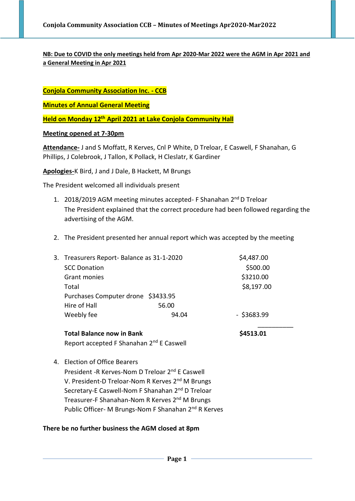# **NB: Due to COVID the only meetings held from Apr 2020-Mar 2022 were the AGM in Apr 2021 and a General Meeting in Apr 2021**

**Conjola Community Association Inc. - CCB**

**Minutes of Annual General Meeting**

**Held on Monday 12th April 2021 at Lake Conjola Community Hall**

### **Meeting opened at 7-30pm**

**Attendance-** J and S Moffatt, R Kerves, Cnl P White, D Treloar, E Caswell, F Shanahan, G Phillips, J Colebrook, J Tallon, K Pollack, H Cleslatr, K Gardiner

**Apologies-**K Bird, J and J Dale, B Hackett, M Brungs

The President welcomed all individuals present

- 1. 2018/2019 AGM meeting minutes accepted- F Shanahan 2<sup>nd</sup> D Treloar The President explained that the correct procedure had been followed regarding the advertising of the AGM.
- 2. The President presented her annual report which was accepted by the meeting

| 3. Treasurers Report-Balance as 31-1-2020 |       | \$4,487.00    |
|-------------------------------------------|-------|---------------|
| <b>SCC Donation</b>                       |       | \$500.00      |
| Grant monies                              |       | \$3210.00     |
| Total                                     |       | \$8,197.00    |
| Purchases Computer drone \$3433.95        |       |               |
| Hire of Hall                              | 56.00 |               |
| Weebly fee                                | 94.04 | $-$ \$3683.99 |
|                                           |       |               |

Total Balance now in Bank **\$4513.01** Report accepted F Shanahan 2nd E Caswell

4. Election of Office Bearers

President -R Kerves-Nom D Treloar 2nd E Caswell V. President-D Treloar-Nom R Kerves 2<sup>nd</sup> M Brungs Secretary-E Caswell-Nom F Shanahan 2<sup>nd</sup> D Treloar Treasurer-F Shanahan-Nom R Kerves 2nd M Brungs Public Officer- M Brungs-Nom F Shanahan 2nd R Kerves

## **There be no further business the AGM closed at 8pm**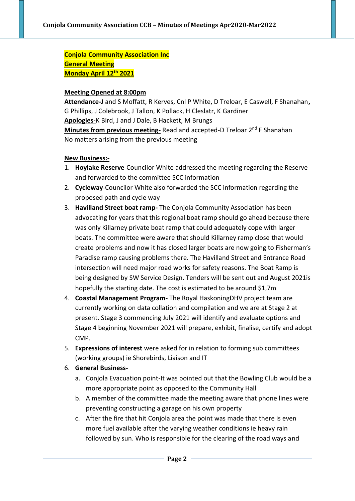**Conjola Community Association Inc General Meeting Monday April 12th 2021**

## **Meeting Opened at 8:00pm**

**Attendance-J** and S Moffatt, R Kerves, Cnl P White, D Treloar, E Caswell, F Shanahan**,**  G Phillips, J Colebrook, J Tallon, K Pollack, H Cleslatr, K Gardiner **Apologies-**K Bird, J and J Dale, B Hackett, M Brungs **Minutes from previous meeting-** Read and accepted-D Treloar 2<sup>nd</sup> F Shanahan No matters arising from the previous meeting

## **New Business:-**

- 1. **Hoylake Reserve**-Councilor White addressed the meeting regarding the Reserve and forwarded to the committee SCC information
- 2. **Cycleway**-Councilor White also forwarded the SCC information regarding the proposed path and cycle way
- 3. **Havilland Street boat ramp-** The Conjola Community Association has been advocating for years that this regional boat ramp should go ahead because there was only Killarney private boat ramp that could adequately cope with larger boats. The committee were aware that should Killarney ramp close that would create problems and now it has closed larger boats are now going to Fisherman's Paradise ramp causing problems there. The Havilland Street and Entrance Road intersection will need major road works for safety reasons. The Boat Ramp is being designed by SW Service Design. Tenders will be sent out and August 2021is hopefully the starting date. The cost is estimated to be around \$1,7m
- 4. **Coastal Management Program-** The Royal HaskoningDHV project team are currently working on data collation and compilation and we are at Stage 2 at present. Stage 3 commencing July 2021 will identify and evaluate options and Stage 4 beginning November 2021 will prepare, exhibit, finalise, certify and adopt CMP.
- 5. **Expressions of interest** were asked for in relation to forming sub committees (working groups) ie Shorebirds, Liaison and IT
- 6. **General Business**
	- a. Conjola Evacuation point-It was pointed out that the Bowling Club would be a more appropriate point as opposed to the Community Hall
	- b. A member of the committee made the meeting aware that phone lines were preventing constructing a garage on his own property
	- c. After the fire that hit Conjola area the point was made that there is even more fuel available after the varying weather conditions ie heavy rain followed by sun. Who is responsible for the clearing of the road ways and